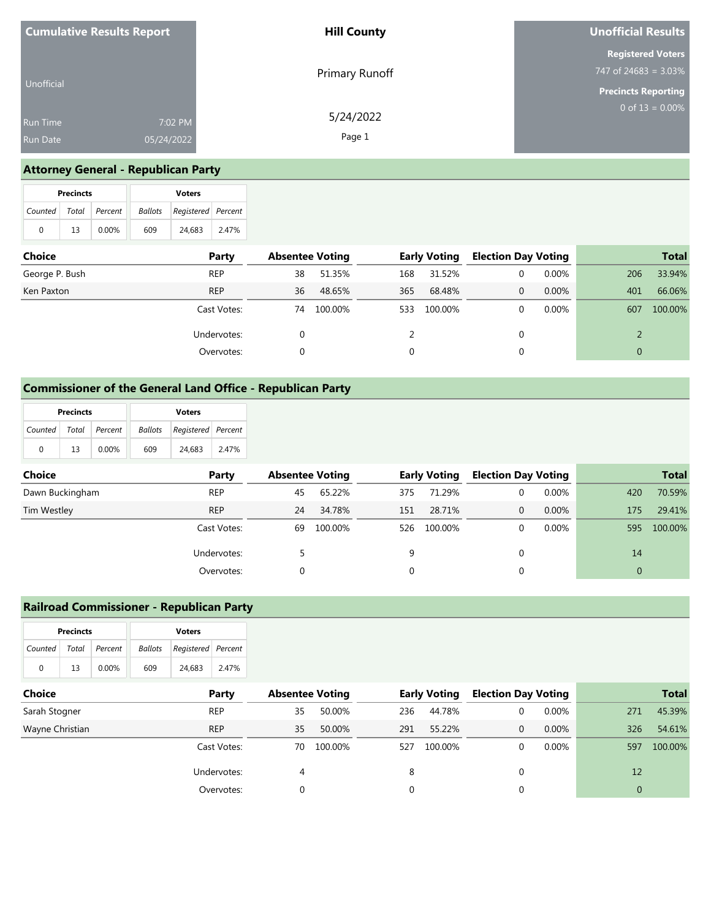| <b>Cumulative Results Report</b> |                       | <b>Hill County</b>  | Unofficial Results                                  |  |  |
|----------------------------------|-----------------------|---------------------|-----------------------------------------------------|--|--|
|                                  |                       | Primary Runoff      | <b>Registered Voters</b><br>747 of 24683 = $3.03\%$ |  |  |
| Unofficial                       |                       |                     | <b>Precincts Reporting</b>                          |  |  |
| Run Time<br>Run Date             | 7:02 PM<br>05/24/2022 | 5/24/2022<br>Page 1 | 0 of $13 = 0.00\%$                                  |  |  |
|                                  |                       |                     |                                                     |  |  |

## **Attorney General - Republican Party**

|                       | <b>Precincts</b> |       | <b>Voters</b> |                            |       |  |  |
|-----------------------|------------------|-------|---------------|----------------------------|-------|--|--|
| Counted Total Percent |                  |       |               | Ballots Registered Percent |       |  |  |
| 0                     | 13               | 0.00% | 609           | 24.683                     | 2.47% |  |  |

| <b>Choice</b>  | Party       | <b>Absentee Voting</b> |         |     | <b>Early Voting</b> | <b>Election Day Voting</b> |          |     | <b>Total</b> |
|----------------|-------------|------------------------|---------|-----|---------------------|----------------------------|----------|-----|--------------|
| George P. Bush | <b>REP</b>  | 38                     | 51.35%  | 168 | 31.52%              |                            | $0.00\%$ | 206 | 33.94%       |
| Ken Paxton     | <b>REP</b>  | 36                     | 48.65%  | 365 | 68.48%              | $\Omega$                   | 0.00%    | 401 | 66.06%       |
|                | Cast Votes: | 74                     | 100.00% | 533 | 100.00%             |                            | $0.00\%$ | 607 | 100.00%      |
|                | Undervotes: |                        |         |     |                     |                            |          |     |              |
|                | Overvotes:  |                        |         |     |                     |                            |          |     |              |

### **Commissioner of the General Land Office - Republican Party**

|                       | <b>Precincts</b> |          | <b>Voters</b> |                                   |       |  |  |
|-----------------------|------------------|----------|---------------|-----------------------------------|-------|--|--|
| Counted Total Percent |                  |          |               | <b>Ballots</b> Registered Percent |       |  |  |
| 0                     | 13               | $0.00\%$ | 609           | 24.683                            | 2.47% |  |  |

| <b>Choice</b>   | Party       |    | <b>Absentee Voting</b> |     | <b>Early Voting</b> | <b>Election Day Voting</b> |          |     | <b>Total</b> |
|-----------------|-------------|----|------------------------|-----|---------------------|----------------------------|----------|-----|--------------|
| Dawn Buckingham | <b>REP</b>  | 45 | 65.22%                 | 375 | 71.29%              |                            | $0.00\%$ | 420 | 70.59%       |
| Tim Westley     | <b>REP</b>  | 24 | 34.78%                 | 151 | 28.71%              | 0                          | $0.00\%$ | 175 | 29.41%       |
|                 | Cast Votes: | 69 | 100.00%                | 526 | 100.00%             |                            | $0.00\%$ | 595 | 100.00%      |
|                 | Undervotes: |    |                        | 9   |                     | 0                          |          | 14  |              |
|                 | Overvotes:  |    |                        |     |                     |                            |          |     |              |

### **Railroad Commissioner - Republican Party**

| <b>Precincts</b> |       |          | <b>Voters</b> |                    |       |
|------------------|-------|----------|---------------|--------------------|-------|
| Counted          | Total | Percent  | Ballots       | Registered Percent |       |
| $\mathbf{0}$     | 13    | $0.00\%$ | 609           | 24,683             | 2.47% |

| Choice          | Party       | <b>Absentee Voting</b> |         |     | <b>Early Voting</b> | <b>Election Day Voting</b> |          |          | <b>Total</b> |
|-----------------|-------------|------------------------|---------|-----|---------------------|----------------------------|----------|----------|--------------|
| Sarah Stogner   | <b>REP</b>  | 35                     | 50.00%  | 236 | 44.78%              |                            | $0.00\%$ | 271      | 45.39%       |
| Wayne Christian | <b>REP</b>  | 35                     | 50.00%  | 291 | 55.22%              | 0                          | $0.00\%$ | 326      | 54.61%       |
|                 | Cast Votes: | 70                     | 100.00% | 527 | 100.00%             |                            | 0.00%    | 597      | 100.00%      |
|                 | Undervotes: | 4                      |         | 8   |                     |                            |          | 12       |              |
|                 | Overvotes:  |                        |         |     |                     |                            |          | $\Omega$ |              |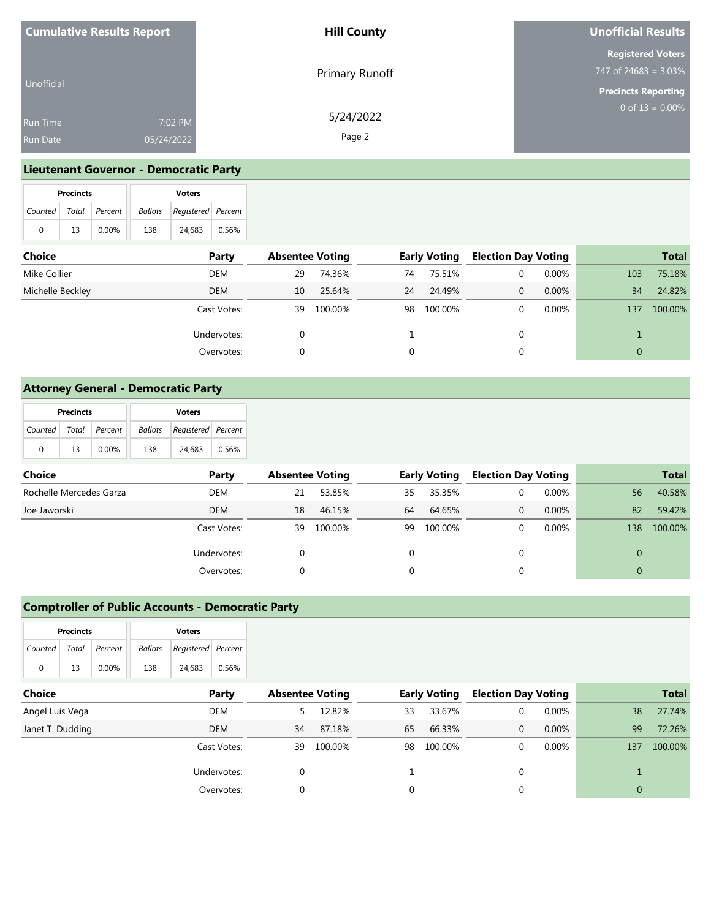| <b>Cumulative Results Report</b> |            | <b>Hill County</b> | <b>Unofficial Results</b>                           |  |  |
|----------------------------------|------------|--------------------|-----------------------------------------------------|--|--|
|                                  |            | Primary Runoff     | <b>Registered Voters</b><br>747 of 24683 = $3.03\%$ |  |  |
| Unofficial                       |            |                    | <b>Precincts Reporting</b>                          |  |  |
| <b>Run Time</b>                  | 7:02 PM    | 5/24/2022          | $0$ of 13 = 0.00%                                   |  |  |
| Run Date                         | 05/24/2022 | Page 2             |                                                     |  |  |

# **Lieutenant Governor - Democratic Party**

|                       | <b>Precincts</b> |          | <b>Voters</b> |                    |       |  |  |
|-----------------------|------------------|----------|---------------|--------------------|-------|--|--|
| Counted Total Percent |                  |          | Ballots       | Registered Percent |       |  |  |
| $\Omega$              | 13               | $0.00\%$ | 138           | 24,683             | 0.56% |  |  |

| Choice           | Party       | <b>Absentee Voting</b> |         |    | <b>Early Voting</b> | <b>Election Day Voting</b> |          |          | <b>Total</b> |
|------------------|-------------|------------------------|---------|----|---------------------|----------------------------|----------|----------|--------------|
| Mike Collier     | DEM         | 29                     | 74.36%  | 74 | 75.51%              |                            | $0.00\%$ | 103      | 75.18%       |
| Michelle Beckley | <b>DEM</b>  | 10                     | 25.64%  | 24 | 24.49%              | $\Omega$                   | $0.00\%$ | 34       | 24.82%       |
|                  | Cast Votes: | 39                     | 100.00% | 98 | 100.00%             |                            | $0.00\%$ | 137      | 100.00%      |
|                  | Undervotes: |                        |         |    |                     |                            |          |          |              |
|                  | Overvotes:  | 0                      |         |    |                     |                            |          | $\Omega$ |              |

## **Attorney General - Democratic Party**

|                       | <b>Precincts</b> |       | <b>Voters</b> |                            |       |  |  |
|-----------------------|------------------|-------|---------------|----------------------------|-------|--|--|
| Counted Total Percent |                  |       |               | Ballots Registered Percent |       |  |  |
| 0                     | 13               | 0.00% | 138           | 24.683                     | 0.56% |  |  |

| <b>Choice</b>           | Party       | <b>Absentee Voting</b> |         |          | <b>Early Voting</b> | <b>Election Day Voting</b> |          |     | <b>Total</b> |
|-------------------------|-------------|------------------------|---------|----------|---------------------|----------------------------|----------|-----|--------------|
| Rochelle Mercedes Garza | DEM         | 21                     | 53.85%  | 35       | 35.35%              | 0                          | $0.00\%$ | 56  | 40.58%       |
| Joe Jaworski            | <b>DEM</b>  | 18                     | 46.15%  | 64       | 64.65%              | 0                          | $0.00\%$ | 82  | 59.42%       |
|                         | Cast Votes: | 39                     | 100.00% | 99       | 100.00%             | 0                          | $0.00\%$ | 138 | 100.00%      |
|                         | Undervotes: |                        |         | $\Omega$ |                     | 0                          |          |     |              |
|                         | Overvotes:  |                        |         |          |                     |                            |          |     |              |

## **Comptroller of Public Accounts - Democratic Party**

| <b>Precincts</b> |    |               | <b>Voters</b> |                    |       |
|------------------|----|---------------|---------------|--------------------|-------|
| Counted          |    | Total Percent | Ballots       | Registered Percent |       |
|                  | 13 | 0.00%         | 138           | 24,683             | 0.56% |

| Choice           | Party       | <b>Absentee Voting</b> |         | <b>Early Voting</b> |         | <b>Election Day Voting</b> |          | <b>Total</b> |         |
|------------------|-------------|------------------------|---------|---------------------|---------|----------------------------|----------|--------------|---------|
| Angel Luis Vega  | DEM         |                        | 12.82%  | 33                  | 33.67%  |                            | $0.00\%$ | 38           | 27.74%  |
| Janet T. Dudding | <b>DEM</b>  | 34                     | 87.18%  | 65                  | 66.33%  |                            | 0.00%    | 99           | 72.26%  |
|                  | Cast Votes: | 39                     | 100.00% | 98                  | 100.00% |                            | $0.00\%$ | 137          | 100.00% |
|                  | Undervotes: |                        |         |                     |         |                            |          |              |         |
|                  | Overvotes:  |                        |         |                     |         |                            |          |              |         |